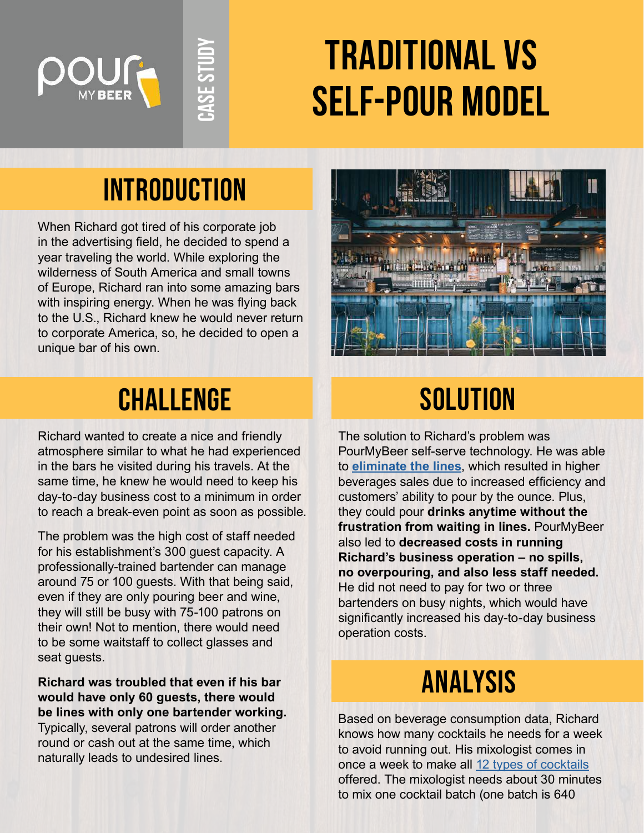

# **Traditional vs self-pour model**

## **INTRODUCTION**

**Case Study**

When Richard got tired of his corporate job in the advertising field, he decided to spend a year traveling the world. While exploring the wilderness of South America and small towns of Europe, Richard ran into some amazing bars with inspiring energy. When he was flying back to the U.S., Richard knew he would never return to corporate America, so, he decided to open a unique bar of his own.



### **CHALLENGE** SOLUTION

Richard wanted to create a nice and friendly atmosphere similar to what he had experienced in the bars he visited during his travels. At the same time, he knew he would need to keep his day-to-day business cost to a minimum in order to reach a break-even point as soon as possible.

The problem was the high cost of staff needed for his establishment's 300 guest capacity. A professionally-trained bartender can manage around 75 or 100 guests. With that being said, even if they are only pouring beer and wine, they will still be busy with 75-100 patrons on their own! Not to mention, there would need to be some waitstaff to collect glasses and seat guests.

**Richard was troubled that even if his bar would have only 60 guests, there would be lines with only one bartender working.** Typically, several patrons will order another round or cash out at the same time, which naturally leads to undesired lines.

The solution to Richard's problem was PourMyBeer self-serve technology. He was able to **[eliminate the lines](https://pourmybeer.com/self-pour-vs-staff-pour/)**, which resulted in higher beverages sales due to increased efficiency and customers' ability to pour by the ounce. Plus, they could pour **drinks anytime without the frustration from waiting in lines.** PourMyBeer also led to **decreased costs in running Richard's business operation – no spills, no overpouring, and also less staff needed.** He did not need to pay for two or three bartenders on busy nights, which would have significantly increased his day-to-day business operation costs.

## analysis

Based on beverage consumption data, Richard knows how many cocktails he needs for a week to avoid running out. His mixologist comes in once a week to make all [12 types of cocktails](https://pourmybeer.com/cocktails-on-tap/) offered. The mixologist needs about 30 minutes to mix one cocktail batch (one batch is 640